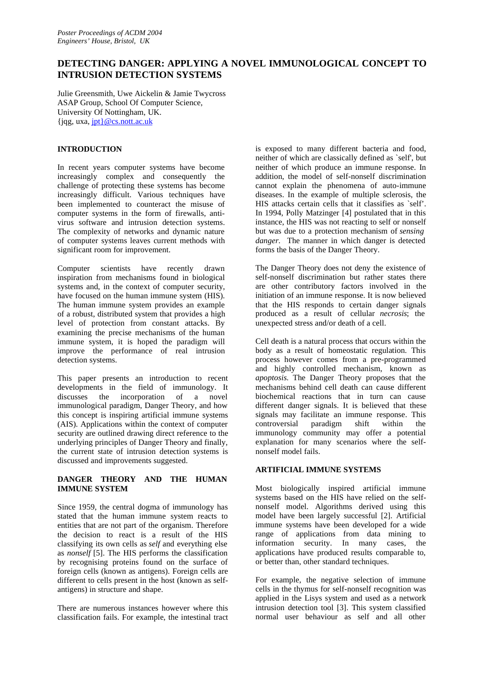# **DETECTING DANGER: APPLYING A NOVEL IMMUNOLOGICAL CONCEPT TO INTRUSION DETECTION SYSTEMS**

Julie Greensmith, Uwe Aickelin & Jamie Twycross ASAP Group, School Of Computer Science, University Of Nottingham, UK.  ${igg, uxa, jpt}@cs.$ nott.ac.uk

## **INTRODUCTION**

In recent years computer systems have become increasingly complex and consequently the challenge of protecting these systems has become increasingly difficult. Various techniques have been implemented to counteract the misuse of computer systems in the form of firewalls, antivirus software and intrusion detection systems. The complexity of networks and dynamic nature of computer systems leaves current methods with significant room for improvement.

Computer scientists have recently drawn inspiration from mechanisms found in biological systems and, in the context of computer security, have focused on the human immune system (HIS). The human immune system provides an example of a robust, distributed system that provides a high level of protection from constant attacks. By examining the precise mechanisms of the human immune system, it is hoped the paradigm will improve the performance of real intrusion detection systems.

This paper presents an introduction to recent developments in the field of immunology. It discusses the incorporation of a novel immunological paradigm, Danger Theory, and how this concept is inspiring artificial immune systems (AIS). Applications within the context of computer security are outlined drawing direct reference to the underlying principles of Danger Theory and finally, the current state of intrusion detection systems is discussed and improvements suggested.

## **DANGER THEORY AND THE HUMAN IMMUNE SYSTEM**

Since 1959, the central dogma of immunology has stated that the human immune system reacts to entities that are not part of the organism. Therefore the decision to react is a result of the HIS classifying its own cells as *self* and everything else as *nonself* [5]. The HIS performs the classification by recognising proteins found on the surface of foreign cells (known as antigens). Foreign cells are different to cells present in the host (known as selfantigens) in structure and shape.

There are numerous instances however where this classification fails. For example, the intestinal tract is exposed to many different bacteria and food, neither of which are classically defined as `self', but neither of which produce an immune response. In addition, the model of self-nonself discrimination cannot explain the phenomena of auto-immune diseases. In the example of multiple sclerosis, the HIS attacks certain cells that it classifies as `self'. In 1994, Polly Matzinger [4] postulated that in this instance, the HIS was not reacting to self or nonself but was due to a protection mechanism of *sensing danger*. The manner in which danger is detected forms the basis of the Danger Theory.

The Danger Theory does not deny the existence of self-nonself discrimination but rather states there are other contributory factors involved in the initiation of an immune response. It is now believed that the HIS responds to certain danger signals produced as a result of cellular *necrosis*; the unexpected stress and/or death of a cell.

Cell death is a natural process that occurs within the body as a result of homeostatic regulation. This process however comes from a pre-programmed and highly controlled mechanism, known as *apoptosis*. The Danger Theory proposes that the mechanisms behind cell death can cause different biochemical reactions that in turn can cause different danger signals. It is believed that these signals may facilitate an immune response. This controversial paradigm shift within the immunology community may offer a potential explanation for many scenarios where the selfnonself model fails.

## **ARTIFICIAL IMMUNE SYSTEMS**

Most biologically inspired artificial immune systems based on the HIS have relied on the selfnonself model. Algorithms derived using this model have been largely successful [2]. Artificial immune systems have been developed for a wide range of applications from data mining to information security. In many cases, the applications have produced results comparable to, or better than, other standard techniques.

For example, the negative selection of immune cells in the thymus for self-nonself recognition was applied in the Lisys system and used as a network intrusion detection tool [3]. This system classified normal user behaviour as self and all other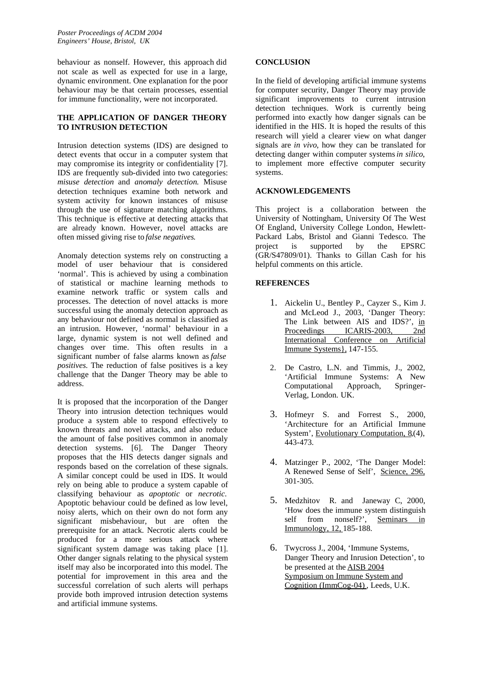behaviour as nonself. However, this approach did not scale as well as expected for use in a large, dynamic environment. One explanation for the poor behaviour may be that certain processes, essential for immune functionality, were not incorporated.

#### **THE APPLICATION OF DANGER THEORY TO INTRUSION DETECTION**

Intrusion detection systems (IDS) are designed to detect events that occur in a computer system that may compromise its integrity or confidentiality [7]. IDS are frequently sub-divided into two categories: *misuse detection* and *anomaly detection*. Misuse detection techniques examine both network and system activity for known instances of misuse through the use of signature matching algorithms. This technique is effective at detecting attacks that are already known. However, novel attacks are often missed giving rise to *false negatives*.

Anomaly detection systems rely on constructing a model of user behaviour that is considered 'normal'. This is achieved by using a combination of statistical or machine learning methods to examine network traffic or system calls and processes. The detection of novel attacks is more successful using the anomaly detection approach as any behaviour not defined as normal is classified as an intrusion. However, 'normal' behaviour in a large, dynamic system is not well defined and changes over time. This often results in a significant number of false alarms known as *false positives*. The reduction of false positives is a key challenge that the Danger Theory may be able to address.

It is proposed that the incorporation of the Danger Theory into intrusion detection techniques would produce a system able to respond effectively to known threats and novel attacks, and also reduce the amount of false positives common in anomaly detection systems. [6]. The Danger Theory proposes that the HIS detects danger signals and responds based on the correlation of these signals. A similar concept could be used in IDS. It would rely on being able to produce a system capable of classifying behaviour as *apoptotic* or *necrotic*. Apoptotic behaviour could be defined as low level, noisy alerts, which on their own do not form any significant misbehaviour, but are often the prerequisite for an attack. Necrotic alerts could be produced for a more serious attack where significant system damage was taking place [1]. Other danger signals relating to the physical system itself may also be incorporated into this model. The potential for improvement in this area and the successful correlation of such alerts will perhaps provide both improved intrusion detection systems and artificial immune systems.

#### **CONCLUSION**

In the field of developing artificial immune systems for computer security, Danger Theory may provide significant improvements to current intrusion detection techniques. Work is currently being performed into exactly how danger signals can be identified in the HIS. It is hoped the results of this research will yield a clearer view on what danger signals are *in vivo*, how they can be translated for detecting danger within computer systems*in silico*, to implement more effective computer security systems.

## **ACKNOWLEDGEMENTS**

This project is a collaboration between the University of Nottingham, University Of The West Of England, University College London, Hewlett-Packard Labs, Bristol and Gianni Tedesco. The project is supported by the EPSRC (GR/S47809/01). Thanks to Gillan Cash for his helpful comments on this article.

## **REFERENCES**

- 1. Aickelin U., Bentley P., Cayzer S., Kim J. and McLeod J., 2003, 'Danger Theory: The Link between AIS and IDS?', in Proceedings ICARIS-2003, 2nd International Conference on Artificial Immune Systems}, 147-155.
- 2. De Castro, L.N. and Timmis, J., 2002, 'Artificial Immune Systems: A New Computational Approach, Springer-Verlag, London. UK.
- 3. Hofmeyr S. and Forrest S., 2000, 'Architecture for an Artificial Immune System', Evolutionary Computation, 8,(4), 443-473.
- 4. Matzinger P., 2002, 'The Danger Model: A Renewed Sense of Self', Science, 296, 301-305.
- 5. Medzhitov R. and Janeway C, 2000, 'How does the immune system distinguish self from nonself?', Seminars in Immunology, 12, 185-188.
- 6. Twycross J., 2004, 'Immune Systems, Danger Theory and Inrusion Detection', to be presented at the AISB 2004 Symposium on Immune System and Cognition (ImmCog-04) , Leeds, U.K.